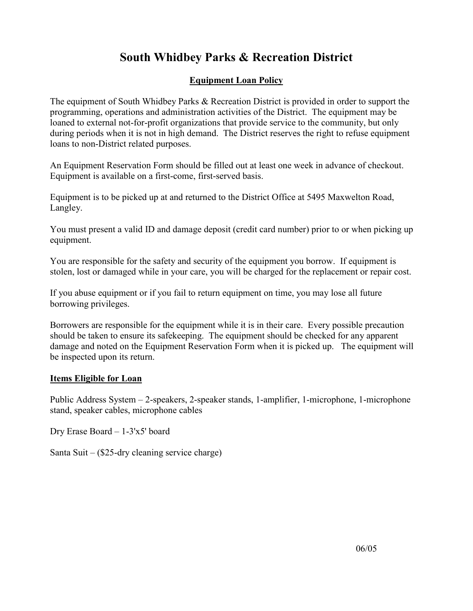## **South Whidbey Parks & Recreation District**

## **Equipment Loan Policy**

The equipment of South Whidbey Parks & Recreation District is provided in order to support the programming, operations and administration activities of the District. The equipment may be loaned to external not-for-profit organizations that provide service to the community, but only during periods when it is not in high demand. The District reserves the right to refuse equipment loans to non-District related purposes.

An Equipment Reservation Form should be filled out at least one week in advance of checkout. Equipment is available on a first-come, first-served basis.

Equipment is to be picked up at and returned to the District Office at 5495 Maxwelton Road, Langley.

You must present a valid ID and damage deposit (credit card number) prior to or when picking up equipment.

You are responsible for the safety and security of the equipment you borrow. If equipment is stolen, lost or damaged while in your care, you will be charged for the replacement or repair cost.

If you abuse equipment or if you fail to return equipment on time, you may lose all future borrowing privileges.

Borrowers are responsible for the equipment while it is in their care. Every possible precaution should be taken to ensure its safekeeping. The equipment should be checked for any apparent damage and noted on the Equipment Reservation Form when it is picked up. The equipment will be inspected upon its return.

## **Items Eligible for Loan**

Public Address System – 2-speakers, 2-speaker stands, 1-amplifier, 1-microphone, 1-microphone stand, speaker cables, microphone cables

Dry Erase Board – 1-3'x5' board

Santa Suit – (\$25-dry cleaning service charge)